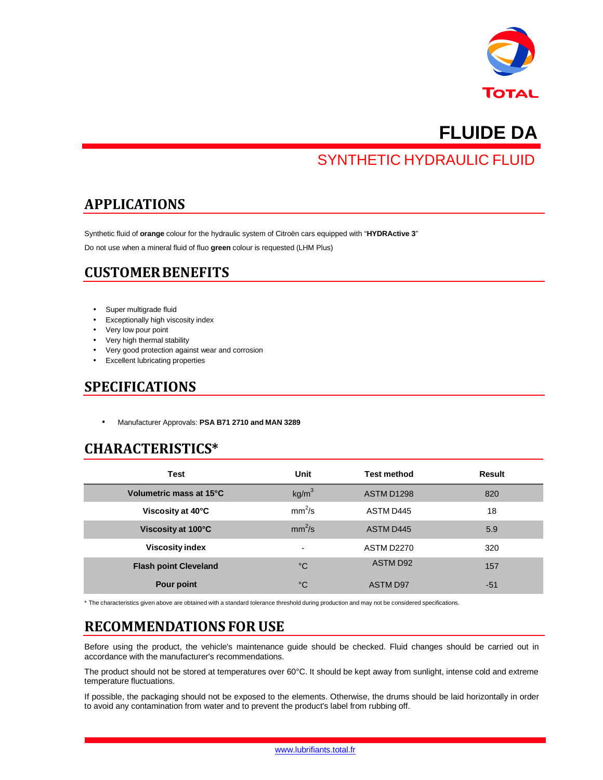

# **FLUIDE DA**

# SYNTHETIC HYDRAULIC FLUID

## **APPLICATIONS**

Synthetic fluid of **orange** colour for the hydraulic system of Citroën cars equipped with "**HYDRActive 3**"

Do not use when a mineral fluid of fluo **green** colour is requested (LHM Plus)

#### **CUSTOMER BENEFITS**

- Super multigrade fluid
- Exceptionally high viscosity index
- Very low pour point
- Very high thermal stability
- Very good protection against wear and corrosion
- Excellent lubricating properties

#### **SPECIFICATIONS**

• Manufacturer Approvals: **PSA B71 2710 and MAN 3289**

#### **CHARACTERISTICS\***

| <b>Test</b>                  | Unit              | <b>Test method</b> | Result |
|------------------------------|-------------------|--------------------|--------|
| Volumetric mass at 15°C      | kg/m <sup>3</sup> | <b>ASTM D1298</b>  | 820    |
| Viscosity at 40°C            | $mm^2/s$          | ASTM D445          | 18     |
| Viscosity at 100°C           | $mm^2/s$          | ASTM D445          | 5.9    |
| <b>Viscosity index</b>       | $\blacksquare$    | <b>ASTM D2270</b>  | 320    |
| <b>Flash point Cleveland</b> | $^{\circ}C$       | ASTM D92           | 157    |
| Pour point                   | °C                | <b>ASTM D97</b>    | $-51$  |

\* The characteristics given above are obtained with a standard tolerance threshold during production and may not be considered specifications.

## **RECOMMENDATIONS FOR USE**

Before using the product, the vehicle's maintenance guide should be checked. Fluid changes should be carried out in accordance with the manufacturer's recommendations.

The product should not be stored at temperatures over 60°C. It should be kept away from sunlight, intense cold and extreme temperature fluctuations.

If possible, the packaging should not be exposed to the elements. Otherwise, the drums should be laid horizontally in order to avoid any contamination from water and to prevent the product's label from rubbing off.